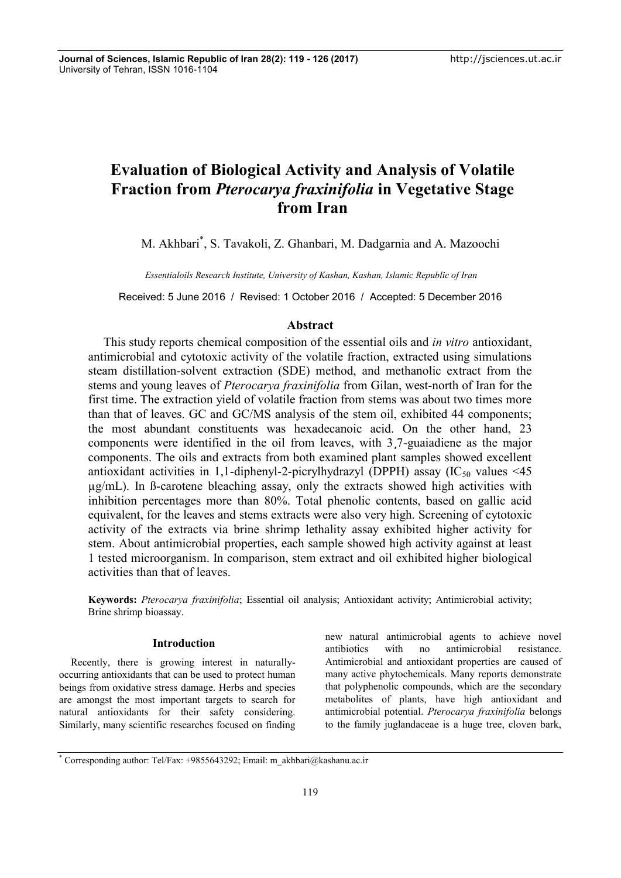# **Evaluation of Biological Activity and Analysis of Volatile Fraction from** *Pterocarya fraxinifolia* **in Vegetative Stage from Iran**

M. Akhbari\* , S. Tavakoli, Z. Ghanbari, M. Dadgarnia and A. Mazoochi

*Essentialoils Research Institute, University of Kashan, Kashan, Islamic Republic of Iran*

Received: 5 June 2016 / Revised: 1 October 2016 / Accepted: 5 December 2016

# **Abstract**

This study reports chemical composition of the essential oils and *in vitro* antioxidant, antimicrobial and cytotoxic activity of the volatile fraction, extracted using simulations steam distillation-solvent extraction (SDE) method, and methanolic extract from the stems and young leaves of *Pterocarya fraxinifolia* from Gilan, west-north of Iran for the first time. The extraction yield of volatile fraction from stems was about two times more than that of leaves. GC and GC/MS analysis of the stem oil, exhibited 44 components; the most abundant constituents was hexadecanoic acid. On the other hand, 23 components were identified in the oil from leaves, with 3¸7-guaiadiene as the major components. The oils and extracts from both examined plant samples showed excellent antioxidant activities in 1,1-diphenyl-2-picrylhydrazyl (DPPH) assay  $(IC_{50}$  values <45 µg/mL). In ß-carotene bleaching assay, only the extracts showed high activities with inhibition percentages more than 80%. Total phenolic contents, based on gallic acid equivalent, for the leaves and stems extracts were also very high. Screening of cytotoxic activity of the extracts via brine shrimp lethality assay exhibited higher activity for stem. About antimicrobial properties, each sample showed high activity against at least 1 tested microorganism. In comparison, stem extract and oil exhibited higher biological activities than that of leaves.

**Keywords:** *Pterocarya fraxinifolia*; Essential oil analysis; Antioxidant activity; Antimicrobial activity; Brine shrimp bioassay.

## **Introduction**

Recently, there is growing interest in naturally occurring antioxidants that can be used to protect human beings from oxidative stress damage. Herbs and species are amongst the most important targets to search for natural antioxidants for their safety considering. Similarly, many scientific researches focused on finding new natural antimicrobial agents to achieve novel antibiotics with no antimicrobial resistance. Antimicrobial and antioxidant properties are caused of many active phytochemicals. Many reports demonstrate that polyphenolic compounds, which are the secondary metabolites of plants, have high antioxidant and antimicrobial potential. *Pterocarya fraxinifolia* belongs to the family juglandaceae is a huge tree, cloven bark,

<sup>\*</sup> Corresponding author: Tel/Fax: +9855643292; Email: m\_akhbari@kashanu.ac.ir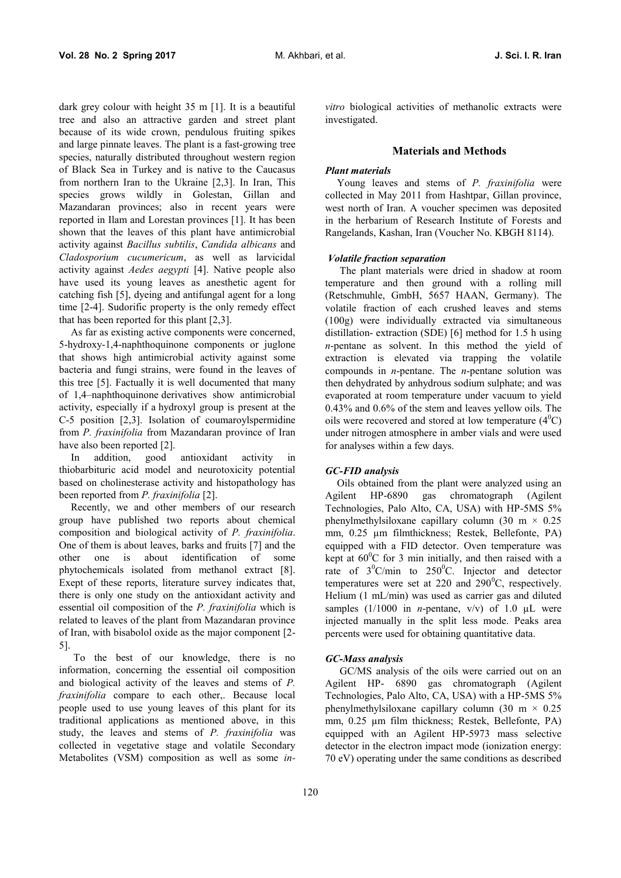dark grey colour with height 35 m [1]. It is a beautiful tree and also an attractive garden and street plant because of its wide crown, pendulous fruiting spikes and large pinnate leaves. The plant is a fast-growing tree species, naturally distributed throughout western region of Black Sea in Turkey and is native to the Caucasus from northern Iran to the Ukraine [2,3]. In Iran, This species grows wildly in Golestan, Gillan and Mazandaran provinces; also in recent years were reported in Ilam and Lorestan provinces [1]. It has been shown that the leaves of this plant have antimicrobial activity against *Bacillus subtilis*, *Candida albicans* and *Cladosporium cucumericum*, as well as larvicidal activity against *Aedes aegypti* [4]. Native people also have used its young leaves as anesthetic agent for catching fish [5], dyeing and antifungal agent for a long time [2-4]. Sudorific property is the only remedy effect that has been reported for this plant [2,3].

As far as existing active components were concerned, 5-hydroxy-1,4-naphthoquinone components or juglone that shows high antimicrobial activity against some bacteria and fungi strains, were found in the leaves of this tree [5]. Factually it is well documented that many of 1,4–naphthoquinone derivatives show antimicrobial activity, especially if a hydroxyl group is present at the C-5 position [2,3]. Isolation of coumaroylspermidine from *P. fraxinifolia* from Mazandaran province of Iran have also been reported [2].

In addition, good antioxidant activity in thiobarbituric acid model and neurotoxicity potential based on cholinesterase activity and histopathology has been reported from *P. fraxinifolia* [2].

Recently, we and other members of our research group have published two reports about chemical composition and biological activity of *P. fraxinifolia*. One of them is about leaves, barks and fruits [7] and the other one is about identification of some phytochemicals isolated from methanol extract [8]. Exept of these reports, literature survey indicates that, there is only one study on the antioxidant activity and essential oil composition of the *P. fraxinifolia* which is related to leaves of the plant from Mazandaran province of Iran, with bisabolol oxide as the major component [2- 5].

To the best of our knowledge, there is no information, concerning the essential oil composition and biological activity of the leaves and stems of *P. fraxinifolia* compare to each other,. Because local people used to use young leaves of this plant for its traditional applications as mentioned above, in this study, the leaves and stems of *P. fraxinifolia* was collected in vegetative stage and volatile Secondary Metabolites (VSM) composition as well as some *in-* *vitro* biological activities of methanolic extracts were investigated.

#### **Materials and Methods**

#### *Plant materials*

Young leaves and stems of *P. fraxinifolia* were collected in May 2011 from Hashtpar, Gillan province, west north of Iran. A voucher specimen was deposited in the herbarium of Research Institute of Forests and Rangelands, Kashan, Iran (Voucher No. KBGH 8114).

#### *Volatile fraction separation*

The plant materials were dried in shadow at room temperature and then ground with a rolling mill (Retschmuhle, GmbH, 5657 HAAN, Germany). The volatile fraction of each crushed leaves and stems (100g) were individually extracted via simultaneous distillation- extraction (SDE) [6] method for 1.5 h using *n*-pentane as solvent. In this method the yield of extraction is elevated via trapping the volatile compounds in *n*-pentane. The *n*-pentane solution was then dehydrated by anhydrous sodium sulphate; and was evaporated at room temperature under vacuum to yield 0.43% and 0.6% of the stem and leaves yellow oils. The oils were recovered and stored at low temperature  $(4^0C)$ under nitrogen atmosphere in amber vials and were used for analyses within a few days.

#### *GC-FID analysis*

Oils obtained from the plant were analyzed using an Agilent HP-6890 gas chromatograph (Agilent Technologies, Palo Alto, CA, USA) with HP-5MS 5% phenylmethylsiloxane capillary column (30 m  $\times$  0.25 mm, 0.25 µm filmthickness; Restek, Bellefonte, PA) equipped with a FID detector. Oven temperature was kept at  $60^{\circ}$ C for 3 min initially, and then raised with a rate of  $3^0$ C/min to  $250^0$ C. Injector and detector temperatures were set at 220 and 290 $^0$ C, respectively. Helium (1 mL/min) was used as carrier gas and diluted samples  $(1/1000$  in *n*-pentane, v/v) of 1.0  $\mu$ L were injected manually in the split less mode. Peaks area percents were used for obtaining quantitative data.

## *GC-Mass analysis*

GC/MS analysis of the oils were carried out on an Agilent HP- 6890 gas chromatograph (Agilent Technologies, Palo Alto, CA, USA) with a HP-5MS 5% phenylmethylsiloxane capillary column (30 m  $\times$  0.25 mm,  $0.25 \mu m$  film thickness; Restek, Bellefonte, PA) equipped with an Agilent HP-5973 mass selective detector in the electron impact mode (ionization energy: 70 eV) operating under the same conditions as described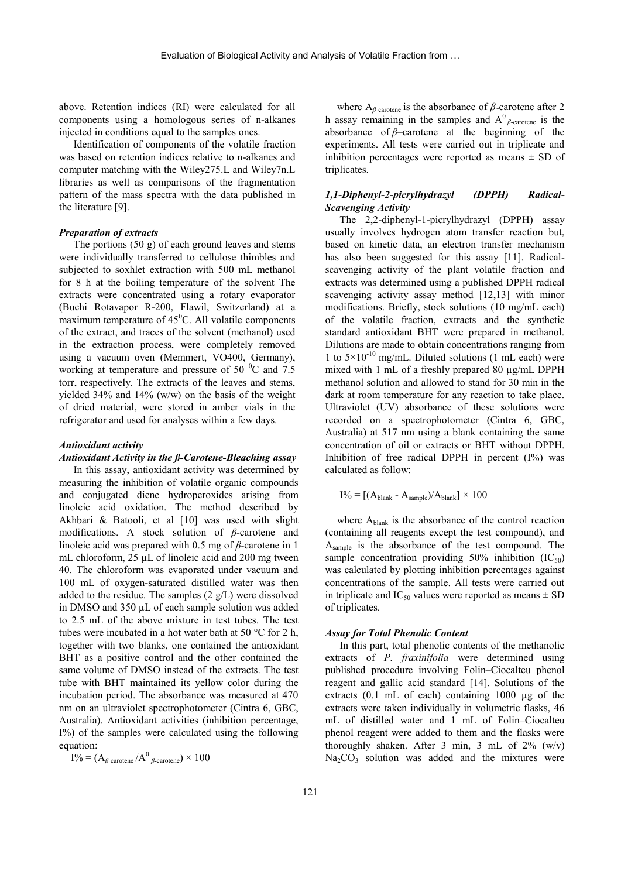above. Retention indices (RI) were calculated for all components using a homologous series of n-alkanes injected in conditions equal to the samples ones.

Identification of components of the volatile fraction was based on retention indices relative to n-alkanes and computer matching with the Wiley275.L and Wiley7n.L libraries as well as comparisons of the fragmentation pattern of the mass spectra with the data published in the literature [9].

#### *Preparation of extracts*

The portions (50 g) of each ground leaves and stems were individually transferred to cellulose thimbles and subjected to soxhlet extraction with 500 mL methanol for 8 h at the boiling temperature of the solvent The extracts were concentrated using a rotary evaporator (Buchi Rotavapor R-200, Flawil, Switzerland) at a maximum temperature of  $45^{\circ}$ C. All volatile components of the extract, and traces of the solvent (methanol) used in the extraction process, were completely removed using a vacuum oven (Memmert, VO400, Germany), working at temperature and pressure of 50 $\degree$ C and 7.5 torr, respectively. The extracts of the leaves and stems, vielded  $34\%$  and  $14\%$  (w/w) on the basis of the weight of dried material, were stored in amber vials in the refrigerator and used for analyses within a few days.

# *Antioxidant activity*

#### *Antioxidant Activity in the ß-Carotene-Bleaching assay*

In this assay, antioxidant activity was determined by measuring the inhibition of volatile organic compounds and conjugated diene hydroperoxides arising from linoleic acid oxidation. The method described by Akhbari & Batooli, et al [10] was used with slight modifications. A stock solution of *β*-carotene and linoleic acid was prepared with 0.5 mg of *β*-carotene in 1 mL chloroform, 25  $\mu$ L of linoleic acid and 200 mg tween 40. The chloroform was evaporated under vacuum and 100 mL of oxygen-saturated distilled water was then added to the residue. The samples (2 g/L) were dissolved in DMSO and 350 µL of each sample solution was added to 2.5 mL of the above mixture in test tubes. The test tubes were incubated in a hot water bath at 50 °C for 2 h, together with two blanks, one contained the antioxidant BHT as a positive control and the other contained the same volume of DMSO instead of the extracts. The test tube with BHT maintained its yellow color during the incubation period. The absorbance was measured at 470 nm on an ultraviolet spectrophotometer (Cintra 6, GBC, Australia). Antioxidant activities (inhibition percentage, I%) of the samples were calculated using the following equation:

 $I\% = (A_{\beta\text{-carotene}}/A^0_{\beta\text{-carotene}}) \times 100$ 

where  $A_{\beta\text{-carotene}}$  is the absorbance of  $\beta\text{-carotene}$  after 2 h assay remaining in the samples and  $A^0$ <sub>β-carotene</sub> is the absorbance of *β*–carotene at the beginning of the experiments. All tests were carried out in triplicate and inhibition percentages were reported as means  $\pm$  SD of triplicates.

## *1,1-Diphenyl-2-picrylhydrazyl (DPPH) Radical- Scavenging Activity*

The 2,2-diphenyl-1-picrylhydrazyl (DPPH) assay usually involves hydrogen atom transfer reaction but, based on kinetic data, an electron transfer mechanism has also been suggested for this assay [11]. Radical scavenging activity of the plant volatile fraction and extracts was determined using a published DPPH radical scavenging activity assay method [12,13] with minor modifications. Briefly, stock solutions (10 mg/mL each) of the volatile fraction, extracts and the synthetic standard antioxidant BHT were prepared in methanol. Dilutions are made to obtain concentrations ranging from 1 to  $5 \times 10^{-10}$  mg/mL. Diluted solutions (1 mL each) were mixed with 1 mL of a freshly prepared 80 µg/mL DPPH methanol solution and allowed to stand for 30 min in the dark at room temperature for any reaction to take place. Ultraviolet (UV) absorbance of these solutions were recorded on a spectrophotometer (Cintra 6, GBC, Australia) at 517 nm using a blank containing the same concentration of oil or extracts or BHT without DPPH. Inhibition of free radical DPPH in percent  $(1\%)$  was calculated as follow:

$$
I\% = [(A_{\text{blank}} - A_{\text{sample}})/A_{\text{blank}}] \times 100
$$

where Ablank is the absorbance of the control reaction (containing all reagents except the test compound), and Asample is the absorbance of the test compound. The sample concentration providing  $50\%$  inhibition (IC<sub>50</sub>) was calculated by plotting inhibition percentages against concentrations of the sample. All tests were carried out in triplicate and  $IC_{50}$  values were reported as means  $\pm$  SD of triplicates.

## *Assay for Total Phenolic Content*

In this part, total phenolic contents of the methanolic extracts of *P. fraxinifolia* were determined using published procedure involving Folin–Ciocalteu phenol reagent and gallic acid standard [14]. Solutions of the extracts (0.1 mL of each) containing 1000 µg of the extracts were taken individually in volumetric flasks, 46 mL of distilled water and 1 mL of Folin–Ciocalteu phenol reagent were added to them and the flasks were thoroughly shaken. After 3 min, 3 mL of  $2\%$  (w/v)  $Na<sub>2</sub>CO<sub>3</sub>$  solution was added and the mixtures were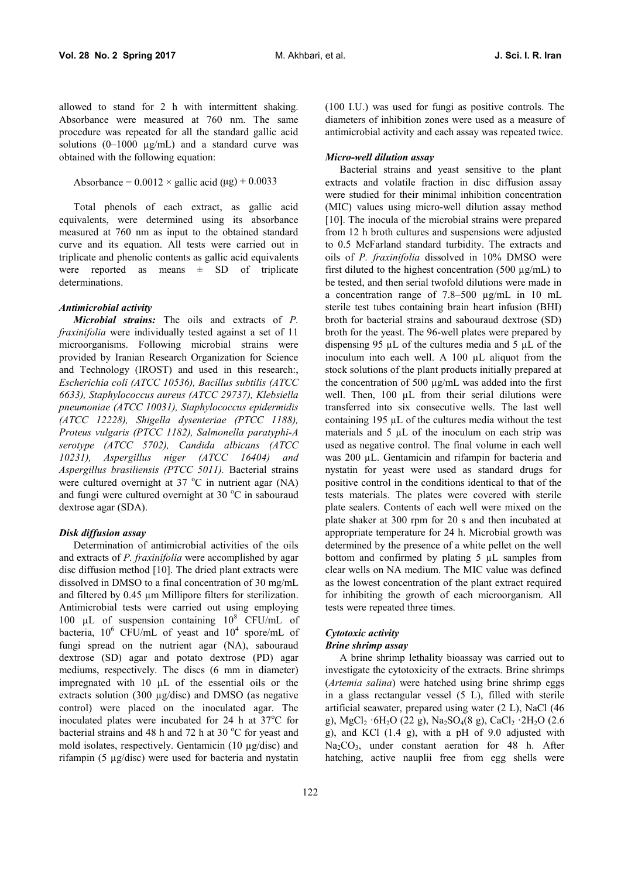allowed to stand for 2 h with intermittent shaking. Absorbance were measured at 760 nm. The same procedure was repeated for all the standard gallic acid solutions  $(0-1000 \mu g/mL)$  and a standard curve was obtained with the following equation:

```
Absorbance = 0.0012 \times gallic acid (µg) + 0.0033
```
Total phenols of each extract, as gallic acid equivalents, were determined using its absorbance measured at 760 nm as input to the obtained standard curve and its equation. All tests were carried out in triplicate and phenolic contents as gallic acid equivalents were reported as means  $\pm$  SD of triplicate determinations.

#### *Antimicrobial activity*

*Microbial strains:* The oils and extracts of *P. fraxinifolia* were individually tested against a set of 11 microorganisms. Following microbial strains were provided by Iranian Research Organization for Science and Technology (IROST) and used in this research:, *Escherichia coli (ATCC 10536), Bacillus subtilis (ATCC 6633), Staphylococcus aureus (ATCC 29737), Klebsiella pneumoniae (ATCC 10031), Staphylococcus epidermidis (ATCC 12228), Shigella dysenteriae (PTCC 1188), Proteus vulgaris (PTCC 1182), Salmonella paratyphi-A serotype (ATCC 5702), Candida albicans (ATCC 10231), Aspergillus niger (ATCC 16404) and Aspergillus brasiliensis (PTCC 5011).* Bacterial strains were cultured overnight at  $37 \text{ °C}$  in nutrient agar (NA) and fungi were cultured overnight at 30 °C in sabouraud dextrose agar (SDA).

#### *Disk diffusion assay*

Determination of antimicrobial activities of the oils and extracts of *P. fraxinifolia* were accomplished by agar disc diffusion method [10]. The dried plant extracts were dissolved in DMSO to a final concentration of 30 mg/mL and filtered by 0.45 µm Millipore filters for sterilization. Antimicrobial tests were carried out using employing 100  $\mu$ L of suspension containing 10<sup>8</sup> CFU/mL of bacteria,  $10^6$  CFU/mL of yeast and  $10^4$  spore/mL of fungi spread on the nutrient agar (NA), sabouraud dextrose (SD) agar and potato dextrose (PD) agar mediums, respectively. The discs (6 mm in diameter) impregnated with 10 µL of the essential oils or the extracts solution (300 µg/disc) and DMSO (as negative control) were placed on the inoculated agar. The inoculated plates were incubated for 24 h at  $37^{\circ}$ C for bacterial strains and 48 h and 72 h at 30  $^{\circ}$ C for yeast and mold isolates, respectively. Gentamicin (10 µg/disc) and rifampin (5 µg/disc) were used for bacteria and nystatin

(100 I.U.) was used for fungi as positive controls. The diameters of inhibition zones were used as a measure of antimicrobial activity and each assay was repeated twice.

## *Micro-well dilution assay*

Bacterial strains and yeast sensitive to the plant extracts and volatile fraction in disc diffusion assay were studied for their minimal inhibition concentration (MIC) values using micro-well dilution assay method [10]. The inocula of the microbial strains were prepared from 12 h broth cultures and suspensions were adjusted to 0.5 McFarland standard turbidity. The extracts and oils of *P. fraxinifolia* dissolved in 10% DMSO were first diluted to the highest concentration  $(500 \text{ kg/mL})$  to be tested, and then serial twofold dilutions were made in a concentration range of 7.8–500 µg/mL in 10 mL sterile test tubes containing brain heart infusion (BHI) broth for bacterial strains and sabouraud dextrose (SD) broth for the yeast. The 96-well plates were prepared by dispensing 95 µL of the cultures media and 5 µL of the inoculum into each well. A 100 µL aliquot from the stock solutions of the plant products initially prepared at the concentration of 500 µg/mL was added into the first well. Then, 100 uL from their serial dilutions were transferred into six consecutive wells. The last well containing 195 µL of the cultures media without the test materials and 5 µL of the inoculum on each strip was used as negative control. The final volume in each well was 200 µL. Gentamicin and rifampin for bacteria and nystatin for yeast were used as standard drugs for positive control in the conditions identical to that of the tests materials. The plates were covered with sterile plate sealers. Contents of each well were mixed on the plate shaker at 300 rpm for 20 s and then incubated at appropriate temperature for 24 h. Microbial growth was determined by the presence of a white pellet on the well bottom and confirmed by plating 5 µL samples from clear wells on NA medium. The MIC value was defined as the lowest concentration of the plant extract required for inhibiting the growth of each microorganism. All tests were repeated three times.

## *Cytotoxic activity*

#### *Brine shrimp assay*

A brine shrimp lethality bioassay was carried out to investigate the cytotoxicity of the extracts. Brine shrimps (*Artemia salina*) were hatched using brine shrimp eggs in a glass rectangular vessel (5 L), filled with sterile artificial seawater, prepared using water (2 L), NaCl (46 g), MgCl<sub>2</sub>  $\cdot$  6H<sub>2</sub>O (22 g), Na<sub>2</sub>SO<sub>4</sub>(8 g), CaCl<sub>2</sub>  $\cdot$  2H<sub>2</sub>O (2.6 g), and KCl (1.4 g), with a pH of 9.0 adjusted with  $Na<sub>2</sub>CO<sub>3</sub>$ , under constant aeration for 48 h. After hatching, active nauplii free from egg shells were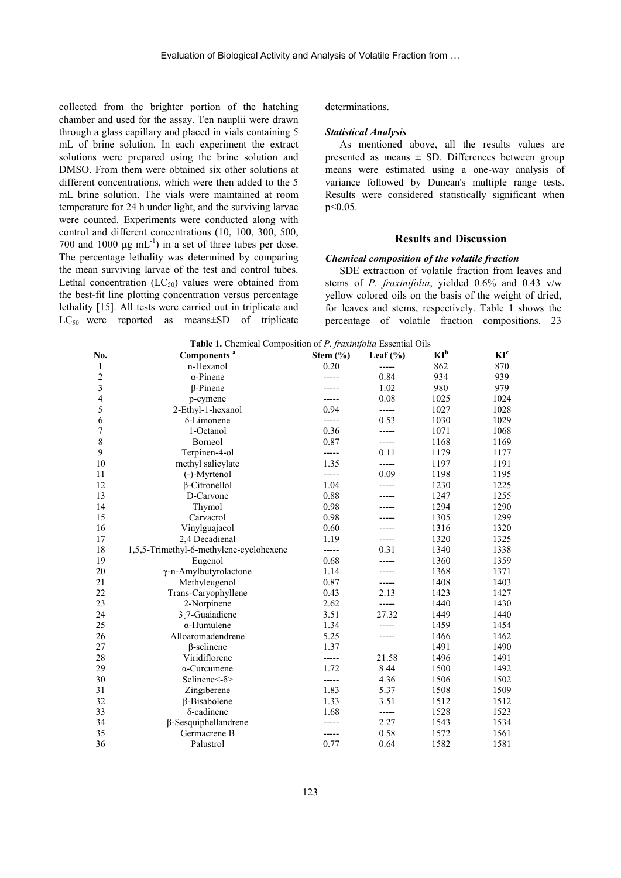collected from the brighter portion of the hatching chamber and used for the assay. Ten nauplii were drawn through a glass capillary and placed in vials containing 5 mL of brine solution. In each experiment the extract solutions were prepared using the brine solution and DMSO. From them were obtained six other solutions at different concentrations, which were then added to the 5 mL brine solution. The vials were maintained at room temperature for 24 h under light, and the surviving larvae were counted. Experiments were conducted along with control and different concentrations (10, 100, 300, 500, 700 and 1000  $\mu$ g mL<sup>-1</sup>) in a set of three tubes per dose. The percentage lethality was determined by comparing the mean surviving larvae of the test and control tubes. Lethal concentration  $(LC_{50})$  values were obtained from the best-fit line plotting concentration versus percentage lethality [15]. All tests were carried out in triplicate and  $LC_{50}$  were reported as means $\pm SD$  of triplicate

#### determinations.

### *Statistical Analysis*

As mentioned above, all the results values are presented as means  $\pm$  SD. Differences between group means were estimated using a one-way analysis of variance followed by Duncan's multiple range tests. Results were considered statistically significant when  $p \leq 0.05$ .

## **Results and Discussion**

## *Chemical composition of the volatile fraction*

SDE extraction of volatile fraction from leaves and stems of *P. fraxinifolia*, yielded 0.6% and 0.43 v/w yellow colored oils on the basis of the weight of dried, for leaves and stems, respectively. Table 1 shows the percentage of volatile fraction compositions. 23

| No.                     | Components <sup>a</sup>                 | Stem $(\% )$ | Leaf $(\% )$ | $KI^b$ | KI <sup>c</sup> |
|-------------------------|-----------------------------------------|--------------|--------------|--------|-----------------|
| 1                       | n-Hexanol                               | 0.20         | -----        | 862    | 870             |
| $\frac{2}{3}$           | $\alpha$ -Pinene                        | -----        | 0.84         | 934    | 939             |
|                         | $\beta$ -Pinene                         |              | 1.02         | 980    | 979             |
| $\overline{\mathbf{4}}$ | p-cymene                                |              | 0.08         | 1025   | 1024            |
| 5                       | 2-Ethyl-1-hexanol                       | 0.94         | -----        | 1027   | 1028            |
| 6                       | δ-Limonene                              | -----        | 0.53         | 1030   | 1029            |
| $\overline{7}$          | 1-Octanol                               | 0.36         | -----        | 1071   | 1068            |
| $\,8\,$                 | Borneol                                 | 0.87         | -----        | 1168   | 1169            |
| 9                       | Terpinen-4-ol                           | -----        | 0.11         | 1179   | 1177            |
| 10                      | methyl salicylate                       | 1.35         | -----        | 1197   | 1191            |
| 11                      | (-)-Myrtenol                            | -----        | 0.09         | 1198   | 1195            |
| 12                      | $\beta$ -Citronellol                    | 1.04         | -----        | 1230   | 1225            |
| 13                      | D-Carvone                               | 0.88         |              | 1247   | 1255            |
| 14                      | Thymol                                  | 0.98         |              | 1294   | 1290            |
| 15                      | Carvacrol                               | 0.98         |              | 1305   | 1299            |
| 16                      | Vinylguajacol                           | 0.60         |              | 1316   | 1320            |
| 17                      | 2,4 Decadienal                          | 1.19         | -----        | 1320   | 1325            |
| 18                      | 1,5,5-Trimethyl-6-methylene-cyclohexene | -----        | 0.31         | 1340   | 1338            |
| 19                      | Eugenol                                 | 0.68         |              | 1360   | 1359            |
| $20\,$                  | γ-n-Amylbutyrolactone                   | 1.14         |              | 1368   | 1371            |
| 21                      | Methyleugenol                           | 0.87         | -----        | 1408   | 1403            |
| 22                      | Trans-Caryophyllene                     | 0.43         | 2.13         | 1423   | 1427            |
| 23                      | 2-Norpinene                             | 2.62         | -----        | 1440   | 1430            |
| 24                      | 3.7-Guaiadiene                          | 3.51         | 27.32        | 1449   | 1440            |
| 25                      | $\alpha$ -Humulene                      | 1.34         |              | 1459   | 1454            |
| 26                      | Alloaromadendrene                       | 5.25         |              | 1466   | 1462            |
| 27                      | $\beta$ -selinene                       | 1.37         |              | 1491   | 1490            |
| 28                      | Viridiflorene                           | -----        | 21.58        | 1496   | 1491            |
| 29                      | $\alpha$ -Curcumene                     | 1.72         | 8.44         | 1500   | 1492            |
| 30                      | Selinene $\leq$ - $\delta$ >            | -----        | 4.36         | 1506   | 1502            |
| 31                      | Zingiberene                             | 1.83         | 5.37         | 1508   | 1509            |
| 32                      | $\beta$ -Bisabolene                     | 1.33         | 3.51         | 1512   | 1512            |
| 33                      | $\delta$ -cadinene                      | 1.68         | -----        | 1528   | 1523            |
| 34                      | $\beta$ -Sesquiphellandrene             |              | 2.27         | 1543   | 1534            |
| 35                      | Germacrene B                            | -----        | 0.58         | 1572   | 1561            |
| 36                      | Palustrol                               | 0.77         | 0.64         | 1582   | 1581            |

**Table 1.** Chemical Composition of *P. fraxinifolia* Essential Oils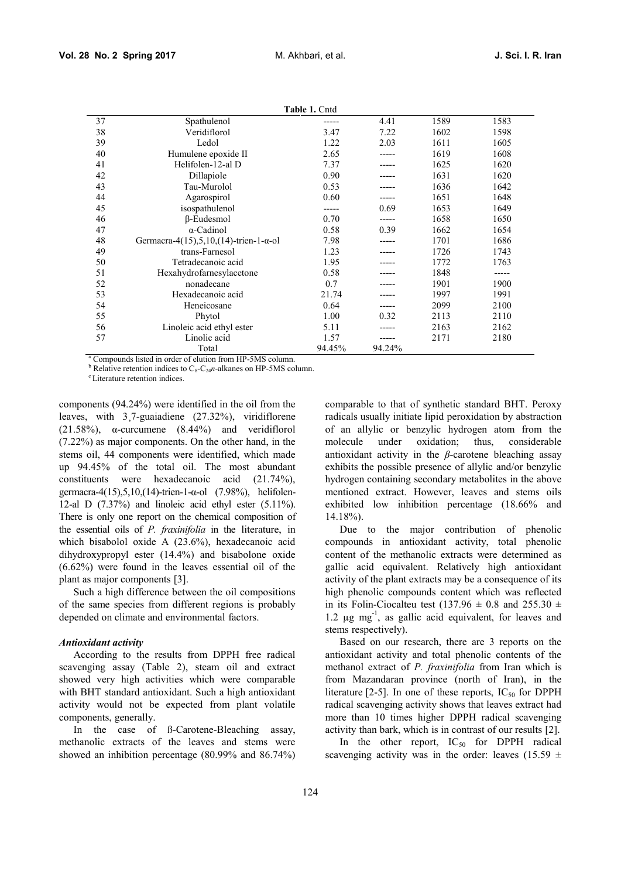**Table 1.** Cntd

|    |                                                | <b>Table 1. Chiu</b> |        |      |       |
|----|------------------------------------------------|----------------------|--------|------|-------|
| 37 | Spathulenol                                    |                      | 4.41   | 1589 | 1583  |
| 38 | Veridiflorol                                   | 3.47                 | 7.22   | 1602 | 1598  |
| 39 | Ledol                                          | 1.22                 | 2.03   | 1611 | 1605  |
| 40 | Humulene epoxide II                            | 2.65                 |        | 1619 | 1608  |
| 41 | Helifolen-12-al D                              | 7.37                 |        | 1625 | 1620  |
| 42 | Dillapiole                                     | 0.90                 |        | 1631 | 1620  |
| 43 | Tau-Murolol                                    | 0.53                 |        | 1636 | 1642  |
| 44 | Agarospirol                                    | 0.60                 |        | 1651 | 1648  |
| 45 | isospathulenol                                 | -----                | 0.69   | 1653 | 1649  |
| 46 | $\beta$ -Eudesmol                              | 0.70                 |        | 1658 | 1650  |
| 47 | $\alpha$ -Cadinol                              | 0.58                 | 0.39   | 1662 | 1654  |
| 48 | Germacra-4(15),5,10,(14)-trien-1- $\alpha$ -ol | 7.98                 |        | 1701 | 1686  |
| 49 | trans-Farnesol                                 | 1.23                 |        | 1726 | 1743  |
| 50 | Tetradecanoic acid                             | 1.95                 |        | 1772 | 1763  |
| 51 | Hexahydrofarnesylacetone                       | 0.58                 |        | 1848 | ----- |
| 52 | nonadecane                                     | 0.7                  |        | 1901 | 1900  |
| 53 | Hexadecanoic acid                              | 21.74                |        | 1997 | 1991  |
| 54 | Heneicosane                                    | 0.64                 |        | 2099 | 2100  |
| 55 | Phytol                                         | 1.00                 | 0.32   | 2113 | 2110  |
| 56 | Linoleic acid ethyl ester                      | 5.11                 |        | 2163 | 2162  |
| 57 | Linolic acid                                   | 1.57                 |        | 2171 | 2180  |
|    | Total                                          | 94.45%               | 94.24% |      |       |
|    |                                                |                      |        |      |       |

<sup>a</sup> Compounds listed in order of elution from HP-5MS column.<br><sup>b</sup> Relative retention indices to C<sub>8</sub>-C<sub>24</sub>*n*-alkanes on HP-5MS column. <sup>c</sup> Literature retention indices.

components (94.24%) were identified in the oil from the leaves, with 3¸7-guaiadiene (27.32%), viridiflorene (21.58%), α-curcumene (8.44%) and veridiflorol (7.22%) as major components. On the other hand, in the stems oil, 44 components were identified, which made up 94.45% of the total oil. The most abundant constituents were hexadecanoic acid (21.74%), germacra-4(15),5,10,(14)-trien-1-α-ol (7.98%), helifolen- 12-al D (7.37%) and linoleic acid ethyl ester (5.11%). There is only one report on the chemical composition of the essential oils of *P. fraxinifolia* in the literature, in which bisabolol oxide A (23.6%), hexadecanoic acid dihydroxypropyl ester (14.4%) and bisabolone oxide (6.62%) were found in the leaves essential oil of the plant as major components [3].

Such a high difference between the oil compositions of the same species from different regions is probably depended on climate and environmental factors.

#### *Antioxidant activity*

According to the results from DPPH free radical scavenging assay (Table 2), steam oil and extract showed very high activities which were comparable with BHT standard antioxidant. Such a high antioxidant activity would not be expected from plant volatile components, generally.

In the case of ß-Carotene-Bleaching assay, methanolic extracts of the leaves and stems were showed an inhibition percentage (80.99% and 86.74%) comparable to that of synthetic standard BHT. Peroxy radicals usually initiate lipid peroxidation by abstraction of an allylic or benzylic hydrogen atom from the under oxidation; thus, considerable antioxidant activity in the *β*-carotene bleaching assay exhibits the possible presence of allylic and/or benzylic hydrogen containing secondary metabolites in the above mentioned extract. However, leaves and stems oils exhibited low inhibition percentage (18.66% and 14.18%).

Due to the major contribution of phenolic compounds in antioxidant activity, total phenolic content of the methanolic extracts were determined as gallic acid equivalent. Relatively high antioxidant activity of the plant extracts may be a consequence of its high phenolic compounds content which was reflected in its Folin-Ciocalteu test (137.96  $\pm$  0.8 and 255.30  $\pm$ 1.2 µg mg-1 , as gallic acid equivalent, for leaves and stems respectively).

Based on our research, there are 3 reports on the antioxidant activity and total phenolic contents of the methanol extract of *P. fraxinifolia* from Iran which is from Mazandaran province (north of Iran), in the literature [2-5]. In one of these reports,  $IC_{50}$  for DPPH radical scavenging activity shows that leaves extract had more than 10 times higher DPPH radical scavenging activity than bark, which is in contrast of our results [2].

In the other report,  $IC_{50}$  for DPPH radical scavenging activity was in the order: leaves (15.59  $\pm$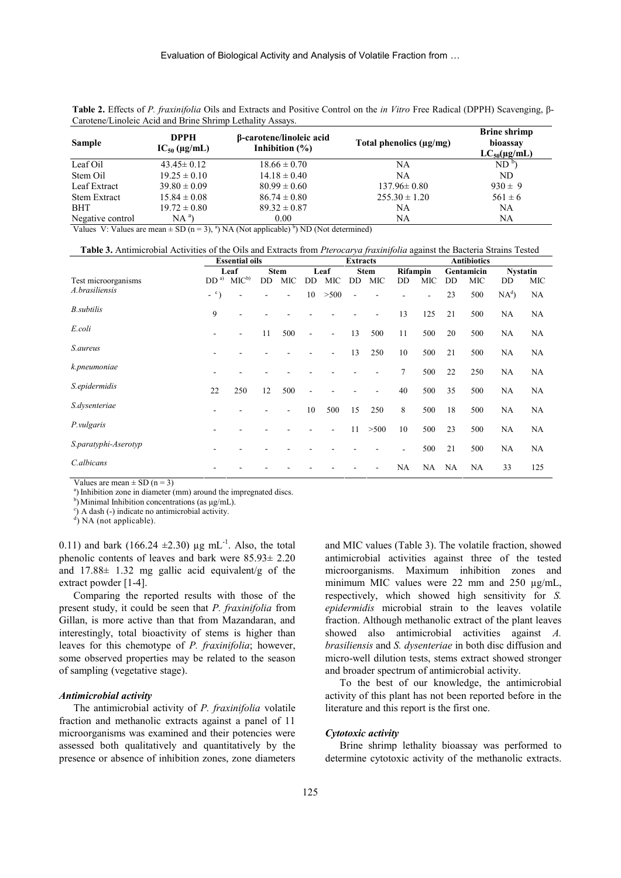|               |                                                           |                                                | <b>Table 2.</b> Effects of P. fraxinifolia Oils and Extracts and Positive Control on the in Vitro Free Radical (DPPH) Scavenging, $\beta$ - |                                                                     |
|---------------|-----------------------------------------------------------|------------------------------------------------|---------------------------------------------------------------------------------------------------------------------------------------------|---------------------------------------------------------------------|
|               | Carotene/Linoleic Acid and Brine Shrimp Lethality Assays. |                                                |                                                                                                                                             |                                                                     |
| <b>Sample</b> | <b>DPPH</b><br>$IC_{50}$ (µg/mL)                          | β-carotene/linoleic acid<br>Inhibition $(\% )$ | Total phenolics $(\mu g/mg)$                                                                                                                | <b>Brine shrimp</b><br>bioassay<br>$\Gamma \cap \text{Im}(m\Gamma)$ |

| эашріс              | $IC_{50}$ (µg/mL) | Inhibition $(\% )$ | Total plicifulles (µg/mg) | <b>UIUASSA</b> V<br>$LC_{50}(\mu\text{g/mL})$ |  |
|---------------------|-------------------|--------------------|---------------------------|-----------------------------------------------|--|
| Leaf Oil            | $43.45 \pm 0.12$  | $18.66 \pm 0.70$   | NA                        | ND <sup>b</sup>                               |  |
| Stem Oil            | $19.25 \pm 0.10$  | $14.18 \pm 0.40$   | NA                        | ND.                                           |  |
| Leaf Extract        | $39.80 \pm 0.09$  | $80.99 \pm 0.60$   | $137.96 \pm 0.80$         | $930 \pm 9$                                   |  |
| <b>Stem Extract</b> | $15.84 \pm 0.08$  | $86.74 \pm 0.80$   | $255.30 \pm 1.20$         | $561 \pm 6$                                   |  |
| BHT                 | $19.72 \pm 0.80$  | $89.32 \pm 0.87$   | NA                        | NA                                            |  |
| Negative control    | $NA^a$            | 0.00               | NA                        | NA                                            |  |

Values V: Values are mean  $\pm$  SD (n = 3), <sup>a</sup>) NA (Not applicable) <sup>b</sup>) ND (Not determined)

| <b>Table 3.</b> Antimicrobial Activities of the Oils and Extracts from <i>Pterocarva fraxinifolia</i> against the Bacteria Strains Tested |  |
|-------------------------------------------------------------------------------------------------------------------------------------------|--|
|                                                                                                                                           |  |

|                      |            | <b>Essential oils</b>    |    |                | <b>Extracts</b> |                |     |             | <b>Antibiotics</b> |     |           |            |                 |     |
|----------------------|------------|--------------------------|----|----------------|-----------------|----------------|-----|-------------|--------------------|-----|-----------|------------|-----------------|-----|
|                      |            | Leaf                     |    | <b>Stem</b>    |                 | Leaf           |     | <b>Stem</b> | <b>Rifampin</b>    |     |           | Gentamicin | <b>Nystatin</b> |     |
| Test microorganisms  |            | $DDa)$ MIC <sup>b)</sup> | DD | <b>MIC</b>     | <b>DD</b>       | MIC            | DD. | MIC         | DD.                | MIC | DD.       | MIC        | <b>DD</b>       | MIC |
| A.brasiliensis       | $ \circ$ ) | $\blacksquare$           |    | $\blacksquare$ | 10              | >500           | ۰   |             |                    |     | 23        | 500        | $NA^d$          | NA  |
| <b>B.subtilis</b>    | 9          |                          |    |                |                 |                |     | ۰           | 13                 | 125 | 21        | 500        | NA.             | NA  |
| E.coli               |            |                          | 11 | 500            | $\blacksquare$  | $\blacksquare$ | 13  | 500         | 11                 | 500 | 20        | 500        | NA              | NA  |
| S.aureus             |            |                          |    |                |                 | $\blacksquare$ | 13  | 250         | 10                 | 500 | 21        | 500        | NA              | NA  |
| k.pneumoniae         |            |                          |    |                |                 |                |     |             | 7                  | 500 | 22        | 250        | NA              | NA  |
| S.epidermidis        | 22         | 250                      | 12 | 500            |                 |                |     | ۰           | 40                 | 500 | 35        | 500        | NA              | NA  |
| S.dysenteriae        |            |                          |    | ٠              | 10              | 500            | 15  | 250         | 8                  | 500 | 18        | 500        | NA              | NA  |
| P.vulgaris           |            |                          |    |                |                 |                | 11  | >500        | 10                 | 500 | 23        | 500        | NA              | NA  |
| S.paratyphi-Aserotyp |            |                          |    |                |                 |                |     |             |                    | 500 | 21        | 500        | NA              | NA  |
| C.albicans           |            |                          |    |                |                 |                |     |             | NA                 | NA  | <b>NA</b> | <b>NA</b>  | 33              | 125 |
|                      |            |                          |    |                |                 |                |     |             |                    |     |           |            |                 |     |

Values are mean  $\pm$  SD (n = 3)

<sup>a</sup>) Inhibition zone in diameter (mm) around the impregnated discs.

b) Minimal Inhibition concentrations (as  $\mu$ g/mL). <sup>c</sup>) A dash (-) indicate no antimicrobial activity.

 $\overrightarrow{d}$ ) NA (not applicable).

0.11) and bark (166.24  $\pm$ 2.30) µg mL<sup>-1</sup>. Also, the total phenolic contents of leaves and bark were 85.93± 2.20 and  $17.88 \pm 1.32$  mg gallic acid equivalent/g of the extract powder [1-4].

Comparing the reported results with those of the present study, it could be seen that *P. fraxinifolia* from Gillan, is more active than that from Mazandaran, and interestingly, total bioactivity of stems is higher than leaves for this chemotype of *P. fraxinifolia*; however, some observed properties may be related to the season of sampling (vegetative stage).

#### *Antimicrobial activity*

The antimicrobial activity of *P. fraxinifolia* volatile fraction and methanolic extracts against a panel of 11 microorganisms was examined and their potencies were assessed both qualitatively and quantitatively by the presence or absence of inhibition zones, zone diameters and MIC values (Table 3). The volatile fraction, showed antimicrobial activities against three of the tested microorganisms. Maximum inhibition zones and minimum MIC values were 22 mm and 250  $\mu$ g/mL, respectively, which showed high sensitivity for *S. epidermidis* microbial strain to the leaves volatile fraction. Although methanolic extract of the plant leaves showed also antimicrobial activities against *A. brasiliensis* and *S. dysenteriae* in both disc diffusion and micro-well dilution tests, stems extract showed stronger and broader spectrum of antimicrobial activity.

To the best of our knowledge, the antimicrobial activity of this plant has not been reported before in the literature and this report is the first one.

#### *Cytotoxic activity*

Brine shrimp lethality bioassay was performed to determine cytotoxic activity of the methanolic extracts.